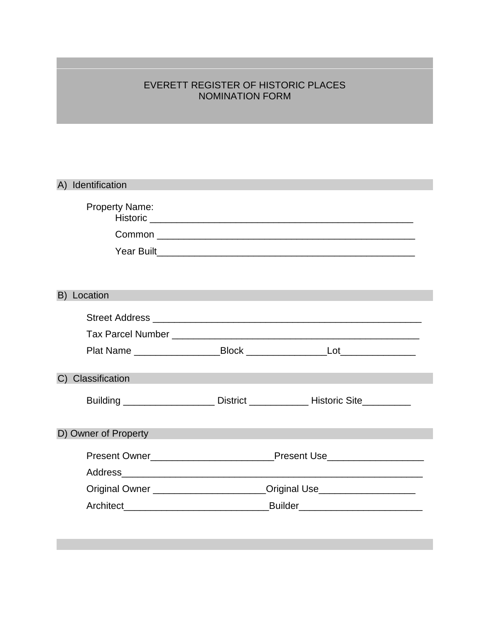# EVERETT REGISTER OF HISTORIC PLACES NOMINATION FORM

|                      | A) Identification     |                                                                                  |                                                                                                                 |  |
|----------------------|-----------------------|----------------------------------------------------------------------------------|-----------------------------------------------------------------------------------------------------------------|--|
|                      | <b>Property Name:</b> |                                                                                  |                                                                                                                 |  |
|                      |                       |                                                                                  |                                                                                                                 |  |
|                      |                       |                                                                                  | Year Built New York Changes and The President Changes and The President Changes and The President Changes and T |  |
|                      |                       |                                                                                  |                                                                                                                 |  |
|                      | B) Location           |                                                                                  |                                                                                                                 |  |
|                      |                       |                                                                                  |                                                                                                                 |  |
|                      |                       |                                                                                  |                                                                                                                 |  |
|                      |                       |                                                                                  |                                                                                                                 |  |
|                      | C) Classification     |                                                                                  |                                                                                                                 |  |
|                      |                       |                                                                                  | Building ______________________ District ________________ Historic Site_________                                |  |
| D) Owner of Property |                       |                                                                                  |                                                                                                                 |  |
|                      |                       |                                                                                  |                                                                                                                 |  |
|                      |                       |                                                                                  |                                                                                                                 |  |
|                      |                       | Original Owner _______________________Original Use______________________________ |                                                                                                                 |  |
|                      |                       |                                                                                  |                                                                                                                 |  |
|                      |                       |                                                                                  |                                                                                                                 |  |